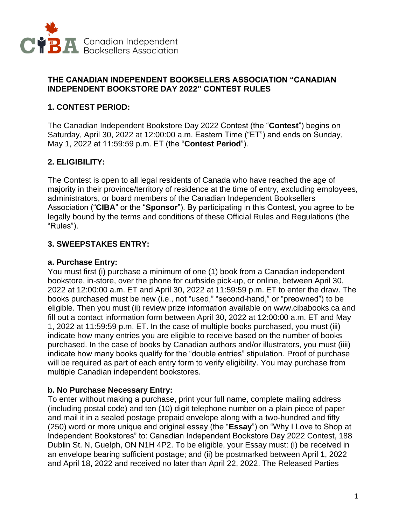

#### **THE CANADIAN INDEPENDENT BOOKSELLERS ASSOCIATION "CANADIAN INDEPENDENT BOOKSTORE DAY 2022" CONTEST RULES**

### **1. CONTEST PERIOD:**

The Canadian Independent Bookstore Day 2022 Contest (the "**Contest**") begins on Saturday, April 30, 2022 at 12:00:00 a.m. Eastern Time ("ET") and ends on Sunday, May 1, 2022 at 11:59:59 p.m. ET (the "**Contest Period**").

## **2. ELIGIBILITY:**

The Contest is open to all legal residents of Canada who have reached the age of majority in their province/territory of residence at the time of entry, excluding employees, administrators, or board members of the Canadian Independent Booksellers Association ("**CIBA**" or the "**Sponsor**"). By participating in this Contest, you agree to be legally bound by the terms and conditions of these Official Rules and Regulations (the "Rules").

### **3. SWEEPSTAKES ENTRY:**

### **a. Purchase Entry:**

You must first (i) purchase a minimum of one (1) book from a Canadian independent bookstore, in-store, over the phone for curbside pick-up, or online, between April 30, 2022 at 12:00:00 a.m. ET and April 30, 2022 at 11:59:59 p.m. ET to enter the draw. The books purchased must be new (i.e., not "used," "second-hand," or "preowned") to be eligible. Then you must (ii) review prize information available on www.cibabooks.ca and fill out a contact information form between April 30, 2022 at 12:00:00 a.m. ET and May 1, 2022 at 11:59:59 p.m. ET. In the case of multiple books purchased, you must (iii) indicate how many entries you are eligible to receive based on the number of books purchased. In the case of books by Canadian authors and/or illustrators, you must (iiii) indicate how many books qualify for the "double entries" stipulation. Proof of purchase will be required as part of each entry form to verify eligibility. You may purchase from multiple Canadian independent bookstores.

### **b. No Purchase Necessary Entry:**

To enter without making a purchase, print your full name, complete mailing address (including postal code) and ten (10) digit telephone number on a plain piece of paper and mail it in a sealed postage prepaid envelope along with a two-hundred and fifty (250) word or more unique and original essay (the "**Essay**") on "Why I Love to Shop at Independent Bookstores" to: Canadian Independent Bookstore Day 2022 Contest, 188 Dublin St. N, Guelph, ON N1H 4P2. To be eligible, your Essay must: (i) be received in an envelope bearing sufficient postage; and (ii) be postmarked between April 1, 2022 and April 18, 2022 and received no later than April 22, 2022. The Released Parties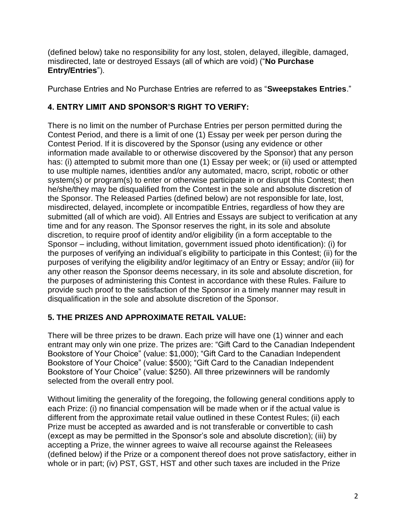(defined below) take no responsibility for any lost, stolen, delayed, illegible, damaged, misdirected, late or destroyed Essays (all of which are void) ("**No Purchase Entry/Entries**").

Purchase Entries and No Purchase Entries are referred to as "**Sweepstakes Entries**."

# **4. ENTRY LIMIT AND SPONSOR'S RIGHT TO VERIFY:**

There is no limit on the number of Purchase Entries per person permitted during the Contest Period, and there is a limit of one (1) Essay per week per person during the Contest Period. If it is discovered by the Sponsor (using any evidence or other information made available to or otherwise discovered by the Sponsor) that any person has: (i) attempted to submit more than one (1) Essay per week; or (ii) used or attempted to use multiple names, identities and/or any automated, macro, script, robotic or other system(s) or program(s) to enter or otherwise participate in or disrupt this Contest; then he/she/they may be disqualified from the Contest in the sole and absolute discretion of the Sponsor. The Released Parties (defined below) are not responsible for late, lost, misdirected, delayed, incomplete or incompatible Entries, regardless of how they are submitted (all of which are void). All Entries and Essays are subject to verification at any time and for any reason. The Sponsor reserves the right, in its sole and absolute discretion, to require proof of identity and/or eligibility (in a form acceptable to the Sponsor – including, without limitation, government issued photo identification): (i) for the purposes of verifying an individual's eligibility to participate in this Contest; (ii) for the purposes of verifying the eligibility and/or legitimacy of an Entry or Essay; and/or (iii) for any other reason the Sponsor deems necessary, in its sole and absolute discretion, for the purposes of administering this Contest in accordance with these Rules. Failure to provide such proof to the satisfaction of the Sponsor in a timely manner may result in disqualification in the sole and absolute discretion of the Sponsor.

## **5. THE PRIZES AND APPROXIMATE RETAIL VALUE:**

There will be three prizes to be drawn. Each prize will have one (1) winner and each entrant may only win one prize. The prizes are: "Gift Card to the Canadian Independent Bookstore of Your Choice" (value: \$1,000); "Gift Card to the Canadian Independent Bookstore of Your Choice" (value: \$500); "Gift Card to the Canadian Independent Bookstore of Your Choice" (value: \$250). All three prizewinners will be randomly selected from the overall entry pool.

Without limiting the generality of the foregoing, the following general conditions apply to each Prize: (i) no financial compensation will be made when or if the actual value is different from the approximate retail value outlined in these Contest Rules; (ii) each Prize must be accepted as awarded and is not transferable or convertible to cash (except as may be permitted in the Sponsor's sole and absolute discretion); (iii) by accepting a Prize, the winner agrees to waive all recourse against the Releasees (defined below) if the Prize or a component thereof does not prove satisfactory, either in whole or in part; (iv) PST, GST, HST and other such taxes are included in the Prize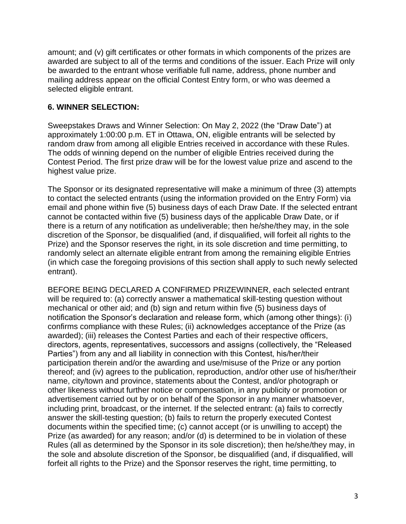amount; and (v) gift certificates or other formats in which components of the prizes are awarded are subject to all of the terms and conditions of the issuer. Each Prize will only be awarded to the entrant whose verifiable full name, address, phone number and mailing address appear on the official Contest Entry form, or who was deemed a selected eligible entrant.

### **6. WINNER SELECTION:**

Sweepstakes Draws and Winner Selection: On May 2, 2022 (the "Draw Date") at approximately 1:00:00 p.m. ET in Ottawa, ON, eligible entrants will be selected by random draw from among all eligible Entries received in accordance with these Rules. The odds of winning depend on the number of eligible Entries received during the Contest Period. The first prize draw will be for the lowest value prize and ascend to the highest value prize.

The Sponsor or its designated representative will make a minimum of three (3) attempts to contact the selected entrants (using the information provided on the Entry Form) via email and phone within five (5) business days of each Draw Date. If the selected entrant cannot be contacted within five (5) business days of the applicable Draw Date, or if there is a return of any notification as undeliverable; then he/she/they may, in the sole discretion of the Sponsor, be disqualified (and, if disqualified, will forfeit all rights to the Prize) and the Sponsor reserves the right, in its sole discretion and time permitting, to randomly select an alternate eligible entrant from among the remaining eligible Entries (in which case the foregoing provisions of this section shall apply to such newly selected entrant).

BEFORE BEING DECLARED A CONFIRMED PRIZEWINNER, each selected entrant will be required to: (a) correctly answer a mathematical skill-testing question without mechanical or other aid; and (b) sign and return within five (5) business days of notification the Sponsor's declaration and release form, which (among other things): (i) confirms compliance with these Rules; (ii) acknowledges acceptance of the Prize (as awarded); (iii) releases the Contest Parties and each of their respective officers, directors, agents, representatives, successors and assigns (collectively, the "Released Parties") from any and all liability in connection with this Contest, his/her/their participation therein and/or the awarding and use/misuse of the Prize or any portion thereof; and (iv) agrees to the publication, reproduction, and/or other use of his/her/their name, city/town and province, statements about the Contest, and/or photograph or other likeness without further notice or compensation, in any publicity or promotion or advertisement carried out by or on behalf of the Sponsor in any manner whatsoever, including print, broadcast, or the internet. If the selected entrant: (a) fails to correctly answer the skill-testing question; (b) fails to return the properly executed Contest documents within the specified time; (c) cannot accept (or is unwilling to accept) the Prize (as awarded) for any reason; and/or (d) is determined to be in violation of these Rules (all as determined by the Sponsor in its sole discretion); then he/she/they may, in the sole and absolute discretion of the Sponsor, be disqualified (and, if disqualified, will forfeit all rights to the Prize) and the Sponsor reserves the right, time permitting, to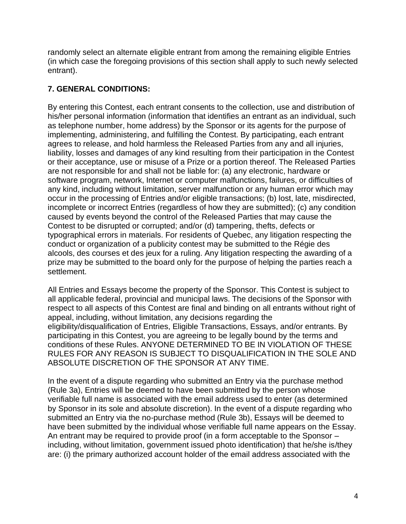randomly select an alternate eligible entrant from among the remaining eligible Entries (in which case the foregoing provisions of this section shall apply to such newly selected entrant).

## **7. GENERAL CONDITIONS:**

By entering this Contest, each entrant consents to the collection, use and distribution of his/her personal information (information that identifies an entrant as an individual, such as telephone number, home address) by the Sponsor or its agents for the purpose of implementing, administering, and fulfilling the Contest. By participating, each entrant agrees to release, and hold harmless the Released Parties from any and all injuries, liability, losses and damages of any kind resulting from their participation in the Contest or their acceptance, use or misuse of a Prize or a portion thereof. The Released Parties are not responsible for and shall not be liable for: (a) any electronic, hardware or software program, network, Internet or computer malfunctions, failures, or difficulties of any kind, including without limitation, server malfunction or any human error which may occur in the processing of Entries and/or eligible transactions; (b) lost, late, misdirected, incomplete or incorrect Entries (regardless of how they are submitted); (c) any condition caused by events beyond the control of the Released Parties that may cause the Contest to be disrupted or corrupted; and/or (d) tampering, thefts, defects or typographical errors in materials. For residents of Quebec, any litigation respecting the conduct or organization of a publicity contest may be submitted to the Régie des alcools, des courses et des jeux for a ruling. Any litigation respecting the awarding of a prize may be submitted to the board only for the purpose of helping the parties reach a settlement.

All Entries and Essays become the property of the Sponsor. This Contest is subject to all applicable federal, provincial and municipal laws. The decisions of the Sponsor with respect to all aspects of this Contest are final and binding on all entrants without right of appeal, including, without limitation, any decisions regarding the eligibility/disqualification of Entries, Eligible Transactions, Essays, and/or entrants. By participating in this Contest, you are agreeing to be legally bound by the terms and conditions of these Rules. ANYONE DETERMINED TO BE IN VIOLATION OF THESE RULES FOR ANY REASON IS SUBJECT TO DISQUALIFICATION IN THE SOLE AND ABSOLUTE DISCRETION OF THE SPONSOR AT ANY TIME.

In the event of a dispute regarding who submitted an Entry via the purchase method (Rule 3a), Entries will be deemed to have been submitted by the person whose verifiable full name is associated with the email address used to enter (as determined by Sponsor in its sole and absolute discretion). In the event of a dispute regarding who submitted an Entry via the no-purchase method (Rule 3b), Essays will be deemed to have been submitted by the individual whose verifiable full name appears on the Essay. An entrant may be required to provide proof (in a form acceptable to the Sponsor – including, without limitation, government issued photo identification) that he/she is/they are: (i) the primary authorized account holder of the email address associated with the